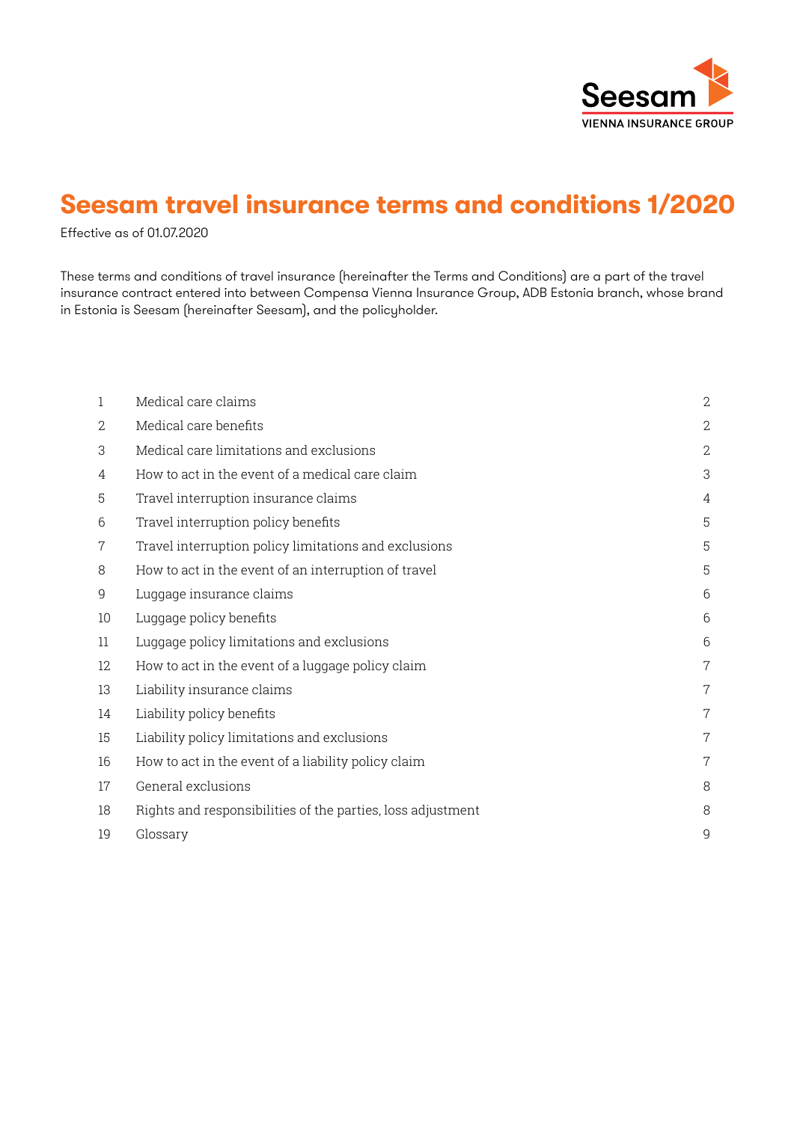

# **Seesam travel insurance terms and conditions 1/2020**

Effective as of 01.07.2020

These terms and conditions of travel insurance (hereinafter the Terms and Conditions) are a part of the travel insurance contract entered into between Compensa Vienna Insurance Group, ADB Estonia branch, whose brand in Estonia is Seesam (hereinafter Seesam), and the policyholder.

| 1  | Medical care claims                                         | $\mathbf{2}$   |
|----|-------------------------------------------------------------|----------------|
| 2  | Medical care benefits                                       | $\overline{2}$ |
| 3  | Medical care limitations and exclusions                     | $\mathbf{2}$   |
| 4  | How to act in the event of a medical care claim             | 3              |
| 5  | Travel interruption insurance claims                        | 4              |
| 6  | Travel interruption policy benefits                         | 5              |
| 7  | Travel interruption policy limitations and exclusions       | 5              |
| 8  | How to act in the event of an interruption of travel        | 5              |
| 9  | Luggage insurance claims                                    | 6              |
| 10 | Luggage policy benefits                                     | 6              |
| 11 | Luggage policy limitations and exclusions                   | 6              |
| 12 | How to act in the event of a luggage policy claim           | $\overline{7}$ |
| 13 | Liability insurance claims                                  | 7              |
| 14 | Liability policy benefits                                   | $\overline{7}$ |
| 15 | Liability policy limitations and exclusions                 | 7              |
| 16 | How to act in the event of a liability policy claim         | 7              |
| 17 | General exclusions                                          | 8              |
| 18 | Rights and responsibilities of the parties, loss adjustment | 8              |
| 19 | Glossary                                                    | 9              |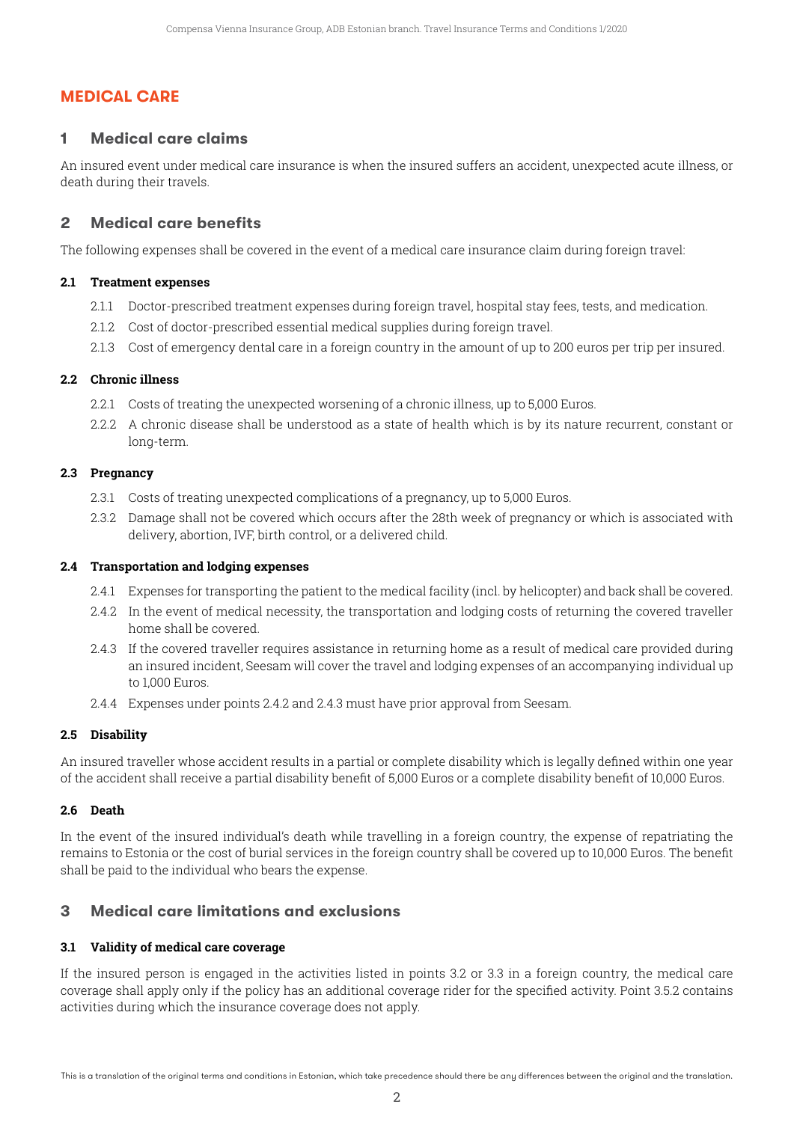# **MEDICAL CARE**

# **1 Medical care claims**

An insured event under medical care insurance is when the insured suffers an accident, unexpected acute illness, or death during their travels.

# **2 Medical care benefits**

The following expenses shall be covered in the event of a medical care insurance claim during foreign travel:

#### **2.1 Treatment expenses**

- 2.1.1 Doctor-prescribed treatment expenses during foreign travel, hospital stay fees, tests, and medication.
- 2.1.2 Cost of doctor-prescribed essential medical supplies during foreign travel.
- 2.1.3 Cost of emergency dental care in a foreign country in the amount of up to 200 euros per trip per insured.

#### **2.2 Chronic illness**

- 2.2.1 Costs of treating the unexpected worsening of a chronic illness, up to 5,000 Euros.
- 2.2.2. A chronic disease shall be understood as a state of health which is by its nature recurrent, constant or long-term.

#### **2.3 Pregnancy**

- 2.3.1 Costs of treating unexpected complications of a pregnancy, up to 5,000 Euros.
- 2.3.2 Damage shall not be covered which occurs after the 28th week of pregnancy or which is associated with delivery, abortion, IVF, birth control, or a delivered child.

#### **2.4 Transportation and lodging expenses**

- 2.4.1 Expenses for transporting the patient to the medical facility (incl. by helicopter) and back shall be covered.
- 2.4.2 In the event of medical necessity, the transportation and lodging costs of returning the covered traveller home shall be covered.
- 2.4.3 If the covered traveller requires assistance in returning home as a result of medical care provided during an insured incident, Seesam will cover the travel and lodging expenses of an accompanying individual up to 1,000 Euros.
- 2.4.4 Expenses under points 2.4.2 and 2.4.3 must have prior approval from Seesam.

#### **2.5 Disability**

An insured traveller whose accident results in a partial or complete disability which is legally defined within one year of the accident shall receive a partial disability benefit of 5,000 Euros or a complete disability benefit of 10,000 Euros.

#### **2.6 Death**

In the event of the insured individual's death while travelling in a foreign country, the expense of repatriating the remains to Estonia or the cost of burial services in the foreign country shall be covered up to 10,000 Euros. The benefit shall be paid to the individual who bears the expense.

# **3 Medical care limitations and exclusions**

#### **3.1 Validity of medical care coverage**

If the insured person is engaged in the activities listed in points 3.2 or 3.3 in a foreign country, the medical care coverage shall apply only if the policy has an additional coverage rider for the specified activity. Point 3.5.2 contains activities during which the insurance coverage does not apply.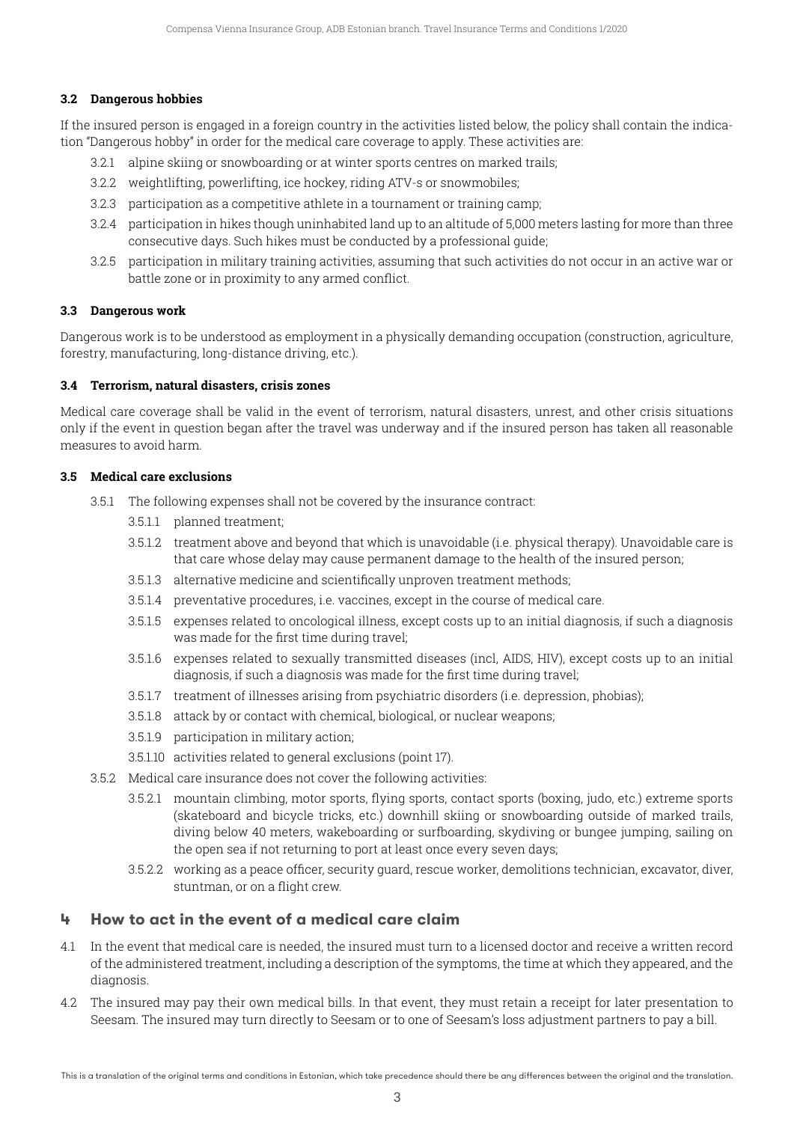#### **3.2 Dangerous hobbies**

If the insured person is engaged in a foreign country in the activities listed below, the policy shall contain the indication "Dangerous hobby" in order for the medical care coverage to apply. These activities are:

- 3.2.1 alpine skiing or snowboarding or at winter sports centres on marked trails;
- 3.2.2 weightlifting, powerlifting, ice hockey, riding ATV-s or snowmobiles;
- 3.2.3 participation as a competitive athlete in a tournament or training camp;
- 3.2.4 participation in hikes though uninhabited land up to an altitude of 5,000 meters lasting for more than three consecutive days. Such hikes must be conducted by a professional guide;
- 3.2.5 participation in military training activities, assuming that such activities do not occur in an active war or battle zone or in proximity to any armed conflict.

#### **3.3 Dangerous work**

Dangerous work is to be understood as employment in a physically demanding occupation (construction, agriculture, forestry, manufacturing, long-distance driving, etc.).

#### **3.4 Terrorism, natural disasters, crisis zones**

Medical care coverage shall be valid in the event of terrorism, natural disasters, unrest, and other crisis situations only if the event in question began after the travel was underway and if the insured person has taken all reasonable measures to avoid harm.

#### **3.5 Medical care exclusions**

- 3.5.1 The following expenses shall not be covered by the insurance contract:
	- 3.5.1.1 planned treatment;
	- 3.5.1.2 treatment above and beyond that which is unavoidable (i.e. physical therapy). Unavoidable care is that care whose delay may cause permanent damage to the health of the insured person;
	- 3.5.1.3 alternative medicine and scientifically unproven treatment methods;
	- 3.5.1.4 preventative procedures, i.e. vaccines, except in the course of medical care.
	- 3.5.1.5 expenses related to oncological illness, except costs up to an initial diagnosis, if such a diagnosis was made for the first time during travel;
	- 3.5.1.6 expenses related to sexually transmitted diseases (incl, AIDS, HIV), except costs up to an initial diagnosis, if such a diagnosis was made for the first time during travel;
	- 3.5.1.7 treatment of illnesses arising from psychiatric disorders (i.e. depression, phobias);
	- 3.5.1.8 attack by or contact with chemical, biological, or nuclear weapons;
	- 3.5.1.9 participation in military action;
	- 3.5.1.10 activities related to general exclusions (point 17).
- 3.5.2 Medical care insurance does not cover the following activities:
	- 3.5.2.1 mountain climbing, motor sports, flying sports, contact sports (boxing, judo, etc.) extreme sports (skateboard and bicycle tricks, etc.) downhill skiing or snowboarding outside of marked trails, diving below 40 meters, wakeboarding or surfboarding, skydiving or bungee jumping, sailing on the open sea if not returning to port at least once every seven days;
	- 3.5.2.2 working as a peace officer, security guard, rescue worker, demolitions technician, excavator, diver, stuntman, or on a flight crew.

# **4 How to act in the event of a medical care claim**

- 4.1 In the event that medical care is needed, the insured must turn to a licensed doctor and receive a written record of the administered treatment, including a description of the symptoms, the time at which they appeared, and the diagnosis.
- 4.2 The insured may pay their own medical bills. In that event, they must retain a receipt for later presentation to Seesam. The insured may turn directly to Seesam or to one of Seesam's loss adjustment partners to pay a bill.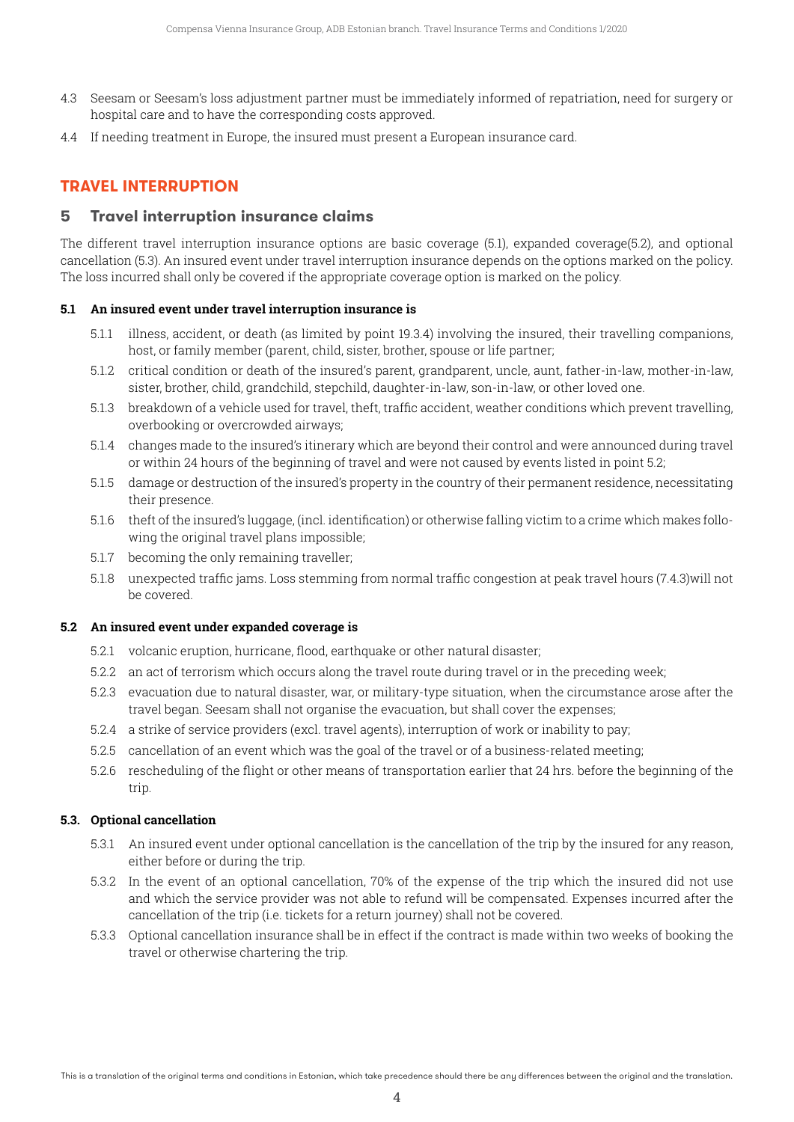- 4.3 Seesam or Seesam's loss adjustment partner must be immediately informed of repatriation, need for surgery or hospital care and to have the corresponding costs approved.
- 4.4 If needing treatment in Europe, the insured must present a European insurance card.

# **TRAVEL INTERRUPTION**

# **5 Travel interruption insurance claims**

The different travel interruption insurance options are basic coverage (5.1), expanded coverage(5.2), and optional cancellation (5.3). An insured event under travel interruption insurance depends on the options marked on the policy. The loss incurred shall only be covered if the appropriate coverage option is marked on the policy.

#### **5.1 An insured event under travel interruption insurance is**

- 5.1.1 illness, accident, or death (as limited by point 19.3.4) involving the insured, their travelling companions, host, or family member (parent, child, sister, brother, spouse or life partner;
- 5.1.2 critical condition or death of the insured's parent, grandparent, uncle, aunt, father-in-law, mother-in-law, sister, brother, child, grandchild, stepchild, daughter-in-law, son-in-law, or other loved one.
- 5.1.3 breakdown of a vehicle used for travel, theft, traffic accident, weather conditions which prevent travelling, overbooking or overcrowded airways;
- 5.1.4 changes made to the insured's itinerary which are beyond their control and were announced during travel or within 24 hours of the beginning of travel and were not caused by events listed in point 5.2;
- 5.1.5 damage or destruction of the insured's property in the country of their permanent residence, necessitating their presence.
- 5.1.6 theft of the insured's luggage, (incl. identification) or otherwise falling victim to a crime which makes following the original travel plans impossible;
- 5.1.7 becoming the only remaining traveller;
- 5.1.8 unexpected traffic jams. Loss stemming from normal traffic congestion at peak travel hours (7.4.3)will not be covered.

### **5.2 An insured event under expanded coverage is**

- 5.2.1 volcanic eruption, hurricane, flood, earthquake or other natural disaster;
- 5.2.2 an act of terrorism which occurs along the travel route during travel or in the preceding week;
- 5.2.3 evacuation due to natural disaster, war, or military-type situation, when the circumstance arose after the travel began. Seesam shall not organise the evacuation, but shall cover the expenses;
- 5.2.4 a strike of service providers (excl. travel agents), interruption of work or inability to pay;
- 5.2.5 cancellation of an event which was the goal of the travel or of a business-related meeting;
- 5.2.6 rescheduling of the flight or other means of transportation earlier that 24 hrs. before the beginning of the trip.

#### **5.3. Optional cancellation**

- 5.3.1 An insured event under optional cancellation is the cancellation of the trip by the insured for any reason, either before or during the trip.
- 5.3.2 In the event of an optional cancellation, 70% of the expense of the trip which the insured did not use and which the service provider was not able to refund will be compensated. Expenses incurred after the cancellation of the trip (i.e. tickets for a return journey) shall not be covered.
- 5.3.3 Optional cancellation insurance shall be in effect if the contract is made within two weeks of booking the travel or otherwise chartering the trip.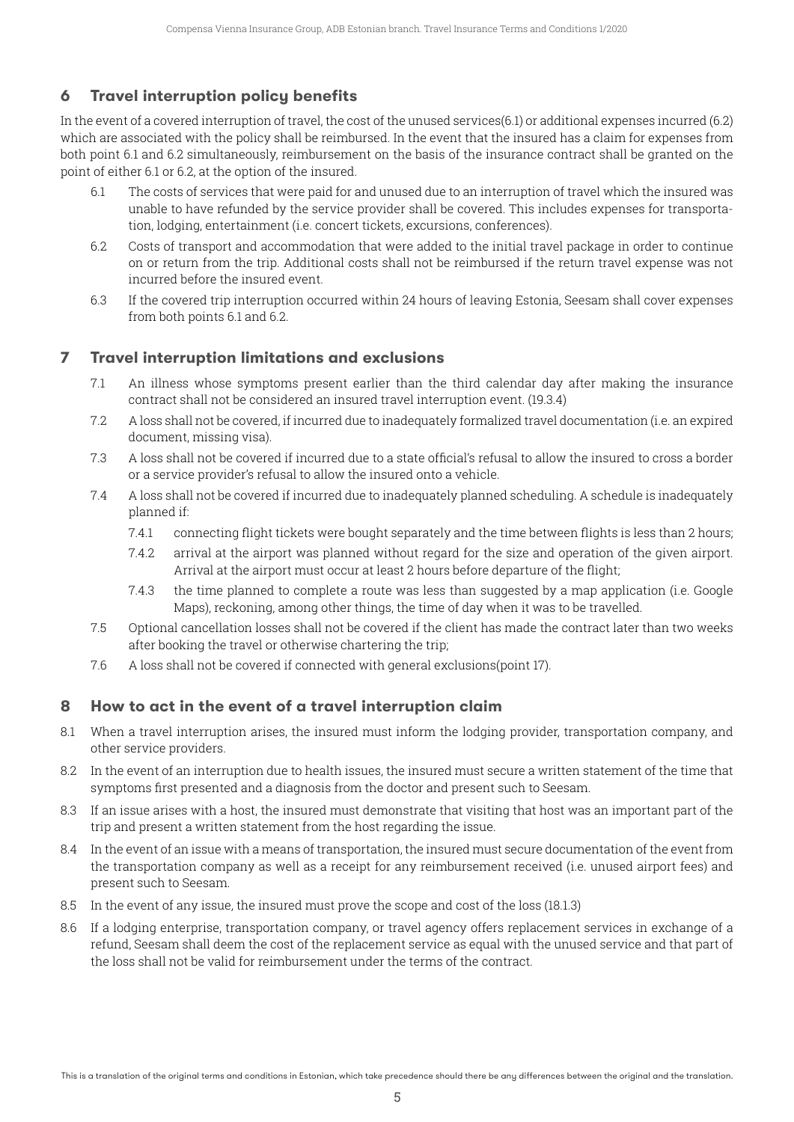# **6 Travel interruption policy benefits**

In the event of a covered interruption of travel, the cost of the unused services(6.1) or additional expenses incurred (6.2) which are associated with the policy shall be reimbursed. In the event that the insured has a claim for expenses from both point 6.1 and 6.2 simultaneously, reimbursement on the basis of the insurance contract shall be granted on the point of either 6.1 or 6.2, at the option of the insured.

- 6.1 The costs of services that were paid for and unused due to an interruption of travel which the insured was unable to have refunded by the service provider shall be covered. This includes expenses for transportation, lodging, entertainment (i.e. concert tickets, excursions, conferences).
- 6.2 Costs of transport and accommodation that were added to the initial travel package in order to continue on or return from the trip. Additional costs shall not be reimbursed if the return travel expense was not incurred before the insured event.
- 6.3 If the covered trip interruption occurred within 24 hours of leaving Estonia, Seesam shall cover expenses from both points 6.1 and 6.2.

# **7 Travel interruption limitations and exclusions**

- 7.1 An illness whose symptoms present earlier than the third calendar day after making the insurance contract shall not be considered an insured travel interruption event. (19.3.4)
- 7.2 A loss shall not be covered, if incurred due to inadequately formalized travel documentation (i.e. an expired document, missing visa).
- 7.3 A loss shall not be covered if incurred due to a state official's refusal to allow the insured to cross a border or a service provider's refusal to allow the insured onto a vehicle.
- 7.4 A loss shall not be covered if incurred due to inadequately planned scheduling. A schedule is inadequately planned if:
	- 7.4.1 connecting flight tickets were bought separately and the time between flights is less than 2 hours;
	- 7.4.2 arrival at the airport was planned without regard for the size and operation of the given airport. Arrival at the airport must occur at least 2 hours before departure of the flight;
	- 7.4.3 the time planned to complete a route was less than suggested by a map application (i.e. Google Maps), reckoning, among other things, the time of day when it was to be travelled.
- 7.5 Optional cancellation losses shall not be covered if the client has made the contract later than two weeks after booking the travel or otherwise chartering the trip;
- 7.6 A loss shall not be covered if connected with general exclusions(point 17).

# **8 How to act in the event of a travel interruption claim**

- 8.1 When a travel interruption arises, the insured must inform the lodging provider, transportation company, and other service providers.
- 8.2 In the event of an interruption due to health issues, the insured must secure a written statement of the time that symptoms first presented and a diagnosis from the doctor and present such to Seesam.
- 8.3 If an issue arises with a host, the insured must demonstrate that visiting that host was an important part of the trip and present a written statement from the host regarding the issue.
- 8.4 In the event of an issue with a means of transportation, the insured must secure documentation of the event from the transportation company as well as a receipt for any reimbursement received (i.e. unused airport fees) and present such to Seesam.
- 8.5 In the event of any issue, the insured must prove the scope and cost of the loss (18.1.3)
- 8.6 If a lodging enterprise, transportation company, or travel agency offers replacement services in exchange of a refund, Seesam shall deem the cost of the replacement service as equal with the unused service and that part of the loss shall not be valid for reimbursement under the terms of the contract.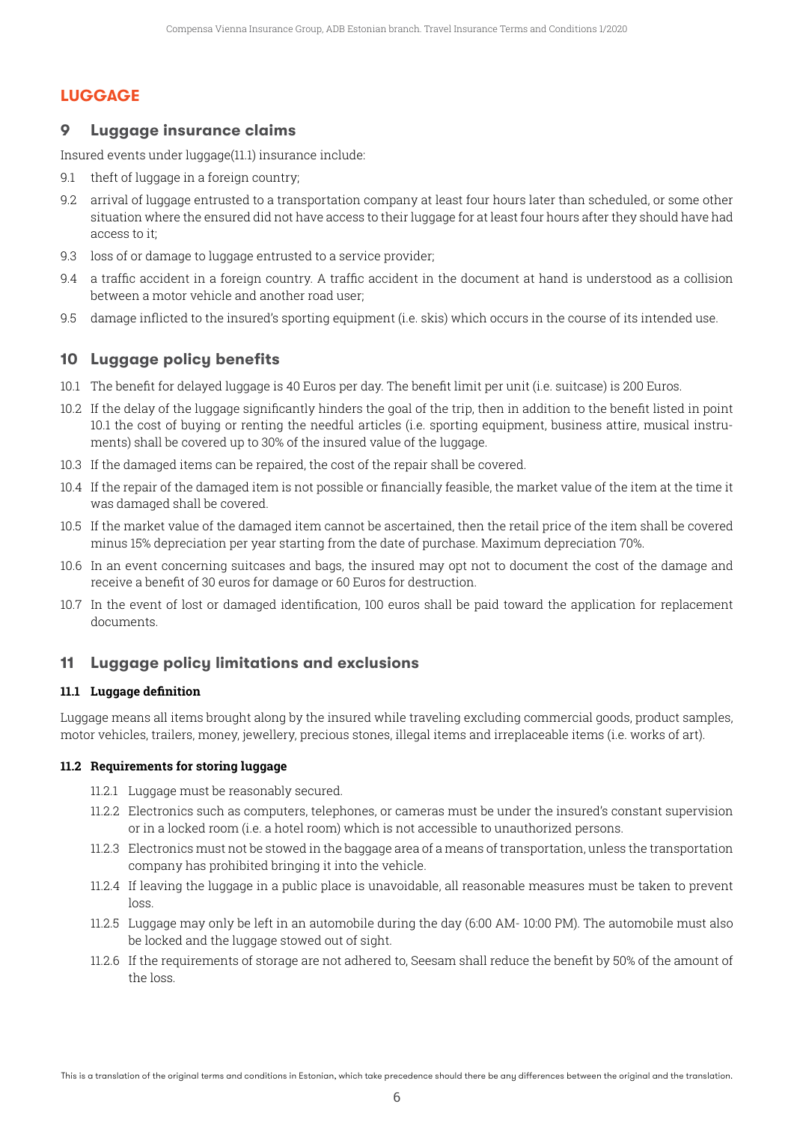# **LUGGAGE**

# **9 Luggage insurance claims**

Insured events under luggage(11.1) insurance include:

- 9.1 theft of luggage in a foreign country;
- 9.2 arrival of luggage entrusted to a transportation company at least four hours later than scheduled, or some other situation where the ensured did not have access to their luggage for at least four hours after they should have had access to it;
- 9.3 loss of or damage to luggage entrusted to a service provider;
- 9.4 a traffic accident in a foreign country. A traffic accident in the document at hand is understood as a collision between a motor vehicle and another road user;
- 9.5 damage inflicted to the insured's sporting equipment (i.e. skis) which occurs in the course of its intended use.

# **10 Luggage policy benefits**

- 10.1 The benefit for delayed luggage is 40 Euros per day. The benefit limit per unit (i.e. suitcase) is 200 Euros.
- 10.2 If the delay of the luggage significantly hinders the goal of the trip, then in addition to the benefit listed in point 10.1 the cost of buying or renting the needful articles (i.e. sporting equipment, business attire, musical instruments) shall be covered up to 30% of the insured value of the luggage.
- 10.3 If the damaged items can be repaired, the cost of the repair shall be covered.
- 10.4 If the repair of the damaged item is not possible or financially feasible, the market value of the item at the time it was damaged shall be covered.
- 10.5 If the market value of the damaged item cannot be ascertained, then the retail price of the item shall be covered minus 15% depreciation per year starting from the date of purchase. Maximum depreciation 70%.
- 10.6 In an event concerning suitcases and bags, the insured may opt not to document the cost of the damage and receive a benefit of 30 euros for damage or 60 Euros for destruction.
- 10.7 In the event of lost or damaged identification, 100 euros shall be paid toward the application for replacement documents.

# **11 Luggage policy limitations and exclusions**

# **11.1 Luggage definition**

Luggage means all items brought along by the insured while traveling excluding commercial goods, product samples, motor vehicles, trailers, money, jewellery, precious stones, illegal items and irreplaceable items (i.e. works of art).

#### **11.2 Requirements for storing luggage**

- 11.2.1 Luggage must be reasonably secured.
- 11.2.2 Electronics such as computers, telephones, or cameras must be under the insured's constant supervision or in a locked room (i.e. a hotel room) which is not accessible to unauthorized persons.
- 11.2.3 Electronics must not be stowed in the baggage area of a means of transportation, unless the transportation company has prohibited bringing it into the vehicle.
- 11.2.4 If leaving the luggage in a public place is unavoidable, all reasonable measures must be taken to prevent loss
- 11.2.5 Luggage may only be left in an automobile during the day (6:00 AM- 10:00 PM). The automobile must also be locked and the luggage stowed out of sight.
- 11.2.6 If the requirements of storage are not adhered to, Seesam shall reduce the benefit by 50% of the amount of the loss.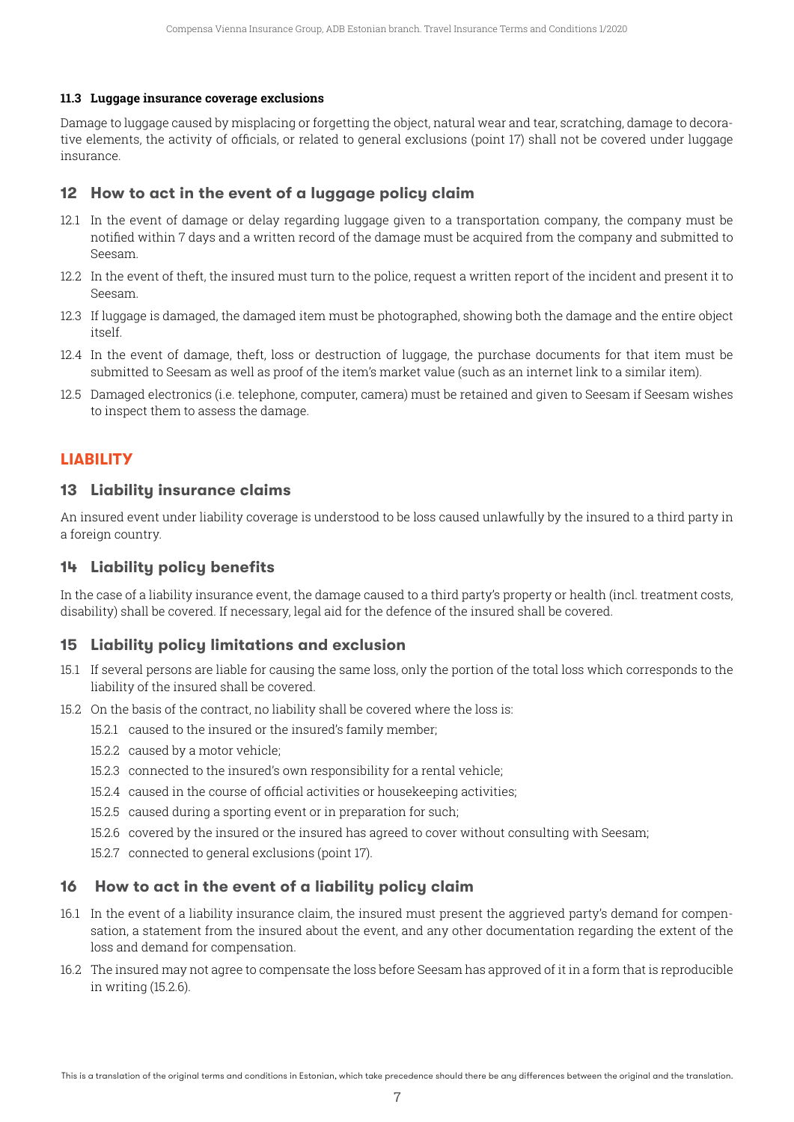#### **11.3 Luggage insurance coverage exclusions**

Damage to luggage caused by misplacing or forgetting the object, natural wear and tear, scratching, damage to decorative elements, the activity of officials, or related to general exclusions (point 17) shall not be covered under luggage insurance.

# **12 How to act in the event of a luggage policy claim**

- 12.1 In the event of damage or delay regarding luggage given to a transportation company, the company must be notified within 7 days and a written record of the damage must be acquired from the company and submitted to Seesam.
- 12.2 In the event of theft, the insured must turn to the police, request a written report of the incident and present it to Seesam.
- 12.3 If luggage is damaged, the damaged item must be photographed, showing both the damage and the entire object itself.
- 12.4 In the event of damage, theft, loss or destruction of luggage, the purchase documents for that item must be submitted to Seesam as well as proof of the item's market value (such as an internet link to a similar item).
- 12.5 Damaged electronics (i.e. telephone, computer, camera) must be retained and given to Seesam if Seesam wishes to inspect them to assess the damage.

# **LIABILITY**

#### **13 Liability insurance claims**

An insured event under liability coverage is understood to be loss caused unlawfully by the insured to a third party in a foreign country.

# **14 Liability policy benefits**

In the case of a liability insurance event, the damage caused to a third party's property or health (incl. treatment costs, disability) shall be covered. If necessary, legal aid for the defence of the insured shall be covered.

# **15 Liability policy limitations and exclusion**

- 15.1 If several persons are liable for causing the same loss, only the portion of the total loss which corresponds to the liability of the insured shall be covered.
- 15.2 On the basis of the contract, no liability shall be covered where the loss is:
	- 15.2.1 caused to the insured or the insured's family member;
	- 15.2.2 caused by a motor vehicle;
	- 15.2.3 connected to the insured's own responsibility for a rental vehicle;
	- 15.2.4 caused in the course of official activities or housekeeping activities;
	- 15.2.5 caused during a sporting event or in preparation for such;
	- 15.2.6 covered by the insured or the insured has agreed to cover without consulting with Seesam;
	- 15.2.7 connected to general exclusions (point 17).

# **16 How to act in the event of a liability policy claim**

- 16.1 In the event of a liability insurance claim, the insured must present the aggrieved party's demand for compensation, a statement from the insured about the event, and any other documentation regarding the extent of the loss and demand for compensation.
- 16.2 The insured may not agree to compensate the loss before Seesam has approved of it in a form that is reproducible in writing (15.2.6).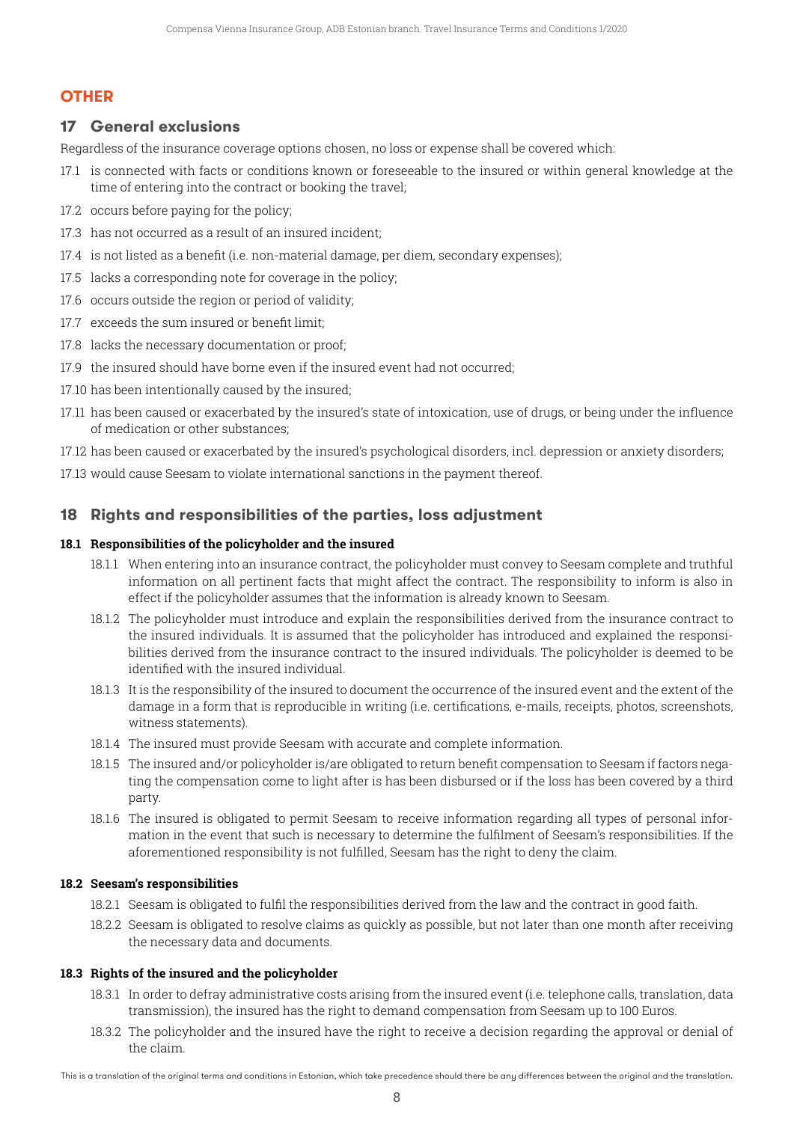# **OTHER**

# **17 General exclusions**

Regardless of the insurance coverage options chosen, no loss or expense shall be covered which:

- 17.1 is connected with facts or conditions known or foreseeable to the insured or within general knowledge at the time of entering into the contract or booking the travel;
- 17.2 occurs before paying for the policy;
- 17.3 has not occurred as a result of an insured incident;
- 17.4 is not listed as a benefit (i.e. non-material damage, per diem, secondary expenses);
- 17.5 lacks a corresponding note for coverage in the policy;
- 17.6 occurs outside the region or period of validity;
- 17.7 exceeds the sum insured or benefit limit;
- 17.8 lacks the necessary documentation or proof;
- 17.9 the insured should have borne even if the insured event had not occurred:
- 17.10 has been intentionally caused by the insured;
- 17.11 has been caused or exacerbated by the insured's state of intoxication, use of drugs, or being under the influence of medication or other substances;
- 17.12 has been caused or exacerbated by the insured's psychological disorders, incl. depression or anxiety disorders;
- 17.13 would cause Seesam to violate international sanctions in the payment thereof.

# **18 Rights and responsibilities of the parties, loss adjustment**

### **18.1 Responsibilities of the policyholder and the insured**

- 18.1.1 When entering into an insurance contract, the policyholder must convey to Seesam complete and truthful information on all pertinent facts that might affect the contract. The responsibility to inform is also in effect if the policyholder assumes that the information is already known to Seesam.
- 18.1.2 The policyholder must introduce and explain the responsibilities derived from the insurance contract to the insured individuals. It is assumed that the policyholder has introduced and explained the responsibilities derived from the insurance contract to the insured individuals. The policyholder is deemed to be identified with the insured individual.
- 18.1.3 It is the responsibility of the insured to document the occurrence of the insured event and the extent of the damage in a form that is reproducible in writing (i.e. certifications, e-mails, receipts, photos, screenshots, witness statements).
- 18.1.4 The insured must provide Seesam with accurate and complete information.
- 18.1.5 The insured and/or policyholder is/are obligated to return benefit compensation to Seesam if factors negating the compensation come to light after is has been disbursed or if the loss has been covered by a third party.
- 18.1.6 The insured is obligated to permit Seesam to receive information regarding all types of personal information in the event that such is necessary to determine the fulfilment of Seesam's responsibilities. If the aforementioned responsibility is not fulfilled, Seesam has the right to deny the claim.

#### **18.2 Seesam's responsibilities**

- 18.2.1 Seesam is obligated to fulfil the responsibilities derived from the law and the contract in good faith.
- 18.2.2 Seesam is obligated to resolve claims as quickly as possible, but not later than one month after receiving the necessary data and documents.

# **18.3 Rights of the insured and the policyholder**

- 18.3.1 In order to defray administrative costs arising from the insured event (i.e. telephone calls, translation, data transmission), the insured has the right to demand compensation from Seesam up to 100 Euros.
- 18.3.2 The policyholder and the insured have the right to receive a decision regarding the approval or denial of the claim.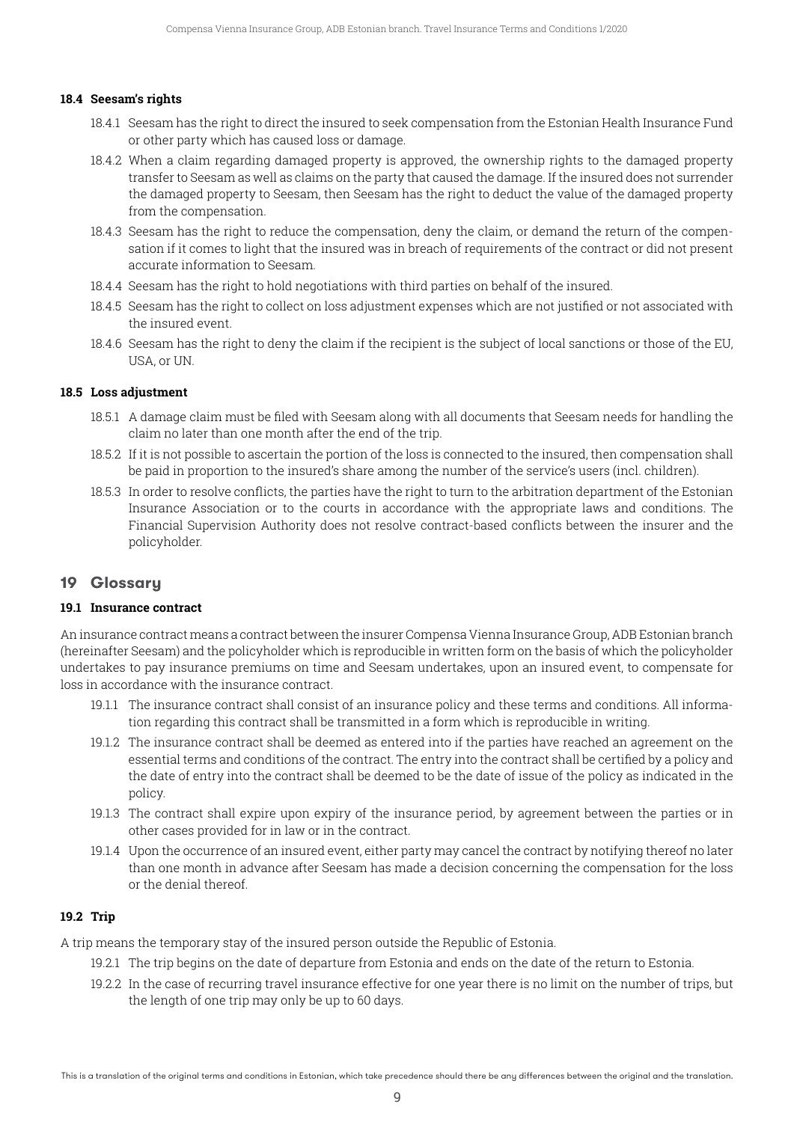#### **18.4 Seesam's rights**

- 18.4.1 Seesam has the right to direct the insured to seek compensation from the Estonian Health Insurance Fund or other party which has caused loss or damage.
- 18.4.2 When a claim regarding damaged property is approved, the ownership rights to the damaged property transfer to Seesam as well as claims on the party that caused the damage. If the insured does not surrender the damaged property to Seesam, then Seesam has the right to deduct the value of the damaged property from the compensation.
- 18.4.3 Seesam has the right to reduce the compensation, deny the claim, or demand the return of the compensation if it comes to light that the insured was in breach of requirements of the contract or did not present accurate information to Seesam.
- 18.4.4 Seesam has the right to hold negotiations with third parties on behalf of the insured.
- 18.4.5 Seesam has the right to collect on loss adjustment expenses which are not justified or not associated with the insured event.
- 18.4.6 Seesam has the right to deny the claim if the recipient is the subject of local sanctions or those of the EU, USA, or UN.

#### **18.5 Loss adjustment**

- 18.5.1 A damage claim must be filed with Seesam along with all documents that Seesam needs for handling the claim no later than one month after the end of the trip.
- 18.5.2 If it is not possible to ascertain the portion of the loss is connected to the insured, then compensation shall be paid in proportion to the insured's share among the number of the service's users (incl. children).
- 18.5.3 In order to resolve conflicts, the parties have the right to turn to the arbitration department of the Estonian Insurance Association or to the courts in accordance with the appropriate laws and conditions. The Financial Supervision Authority does not resolve contract-based conflicts between the insurer and the policyholder.

# **19 Glossary**

#### **19.1 Insurance contract**

An insurance contract means a contract between the insurer Compensa Vienna InsuranceGroup, ADB Estonian branch (hereinafter Seesam) and the policyholder which is reproducible in written form on the basis of which the policyholder undertakes to pay insurance premiums on time and Seesam undertakes, upon an insured event, to compensate for loss in accordance with the insurance contract.

- 19.1.1 The insurance contract shall consist of an insurance policy and these terms and conditions. All information regarding this contract shall be transmitted in a form which is reproducible in writing.
- 19.1.2 The insurance contract shall be deemed as entered into if the parties have reached an agreement on the essential terms and conditions of the contract. The entry into the contract shall be certified by a policy and the date of entry into the contract shall be deemed to be the date of issue of the policy as indicated in the policy.
- 19.1.3 The contract shall expire upon expiry of the insurance period, by agreement between the parties or in other cases provided for in law or in the contract.
- 19.1.4 Upon the occurrence of an insured event, either party may cancel the contract by notifying thereof no later than one month in advance after Seesam has made a decision concerning the compensation for the loss or the denial thereof.

#### **19.2 Trip**

A trip means the temporary stay of the insured person outside the Republic of Estonia.

- 19.2.1 The trip begins on the date of departure from Estonia and ends on the date of the return to Estonia.
- 19.2.2 In the case of recurring travel insurance effective for one year there is no limit on the number of trips, but the length of one trip may only be up to 60 days.